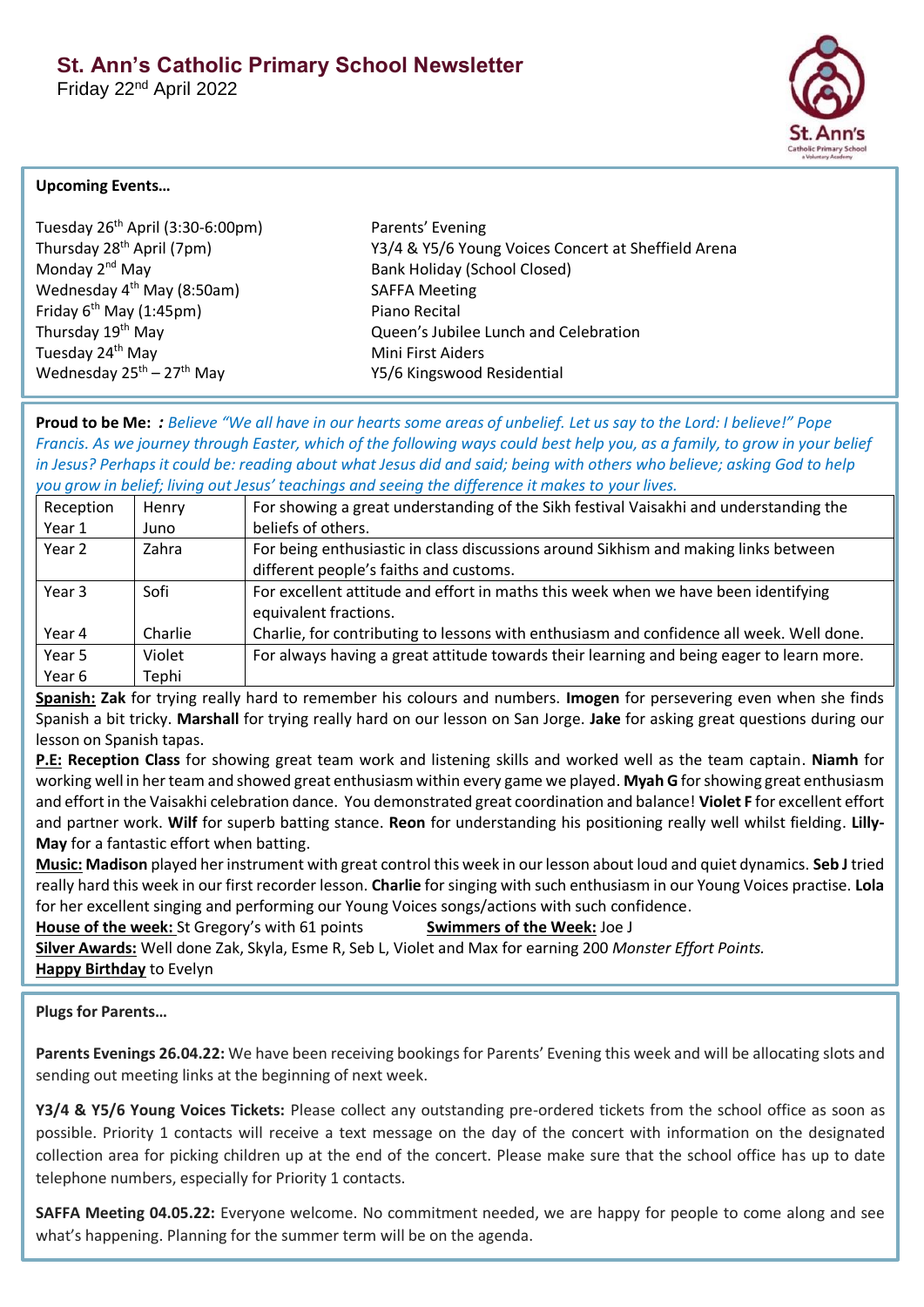Friday 22nd April 2022



### **Upcoming Events…**

| Tuesday 26 <sup>th</sup> April (3:30-6:00pm) |  |  |
|----------------------------------------------|--|--|
| Thursday 28 <sup>th</sup> April (7pm)        |  |  |
| Monday 2 <sup>nd</sup> May                   |  |  |
| Wednesday 4 <sup>th</sup> May (8:50am)       |  |  |
| Friday $6^{th}$ May (1:45pm)                 |  |  |
| Thursday 19 <sup>th</sup> May                |  |  |
| Tuesday 24th May                             |  |  |
| Wednesday $25^{th}$ – $27^{th}$ May          |  |  |

Parents' Evening Y3/4 & Y5/6 Young Voices Concert at Sheffield Arena Bank Holiday (School Closed) SAFFA Meeting Piano Recital Queen's Jubilee Lunch and Celebration **Mini First Aiders** Y5/6 Kingswood Residential

**Proud to be Me:** *: Believe "We all have in our hearts some areas of unbelief. Let us say to the Lord: I believe!" Pope Francis. As we journey through Easter, which of the following ways could best help you, as a family, to grow in your belief in Jesus? Perhaps it could be: reading about what Jesus did and said; being with others who believe; asking God to help you grow in belief; living out Jesus' teachings and seeing the difference it makes to your lives.*

| Reception | Henry   | For showing a great understanding of the Sikh festival Vaisakhi and understanding the    |  |
|-----------|---------|------------------------------------------------------------------------------------------|--|
| Year 1    | Juno    | beliefs of others.                                                                       |  |
| Year 2    | Zahra   | For being enthusiastic in class discussions around Sikhism and making links between      |  |
|           |         | different people's faiths and customs.                                                   |  |
| Year 3    | Sofi    | For excellent attitude and effort in maths this week when we have been identifying       |  |
|           |         | equivalent fractions.                                                                    |  |
| Year 4    | Charlie | Charlie, for contributing to lessons with enthusiasm and confidence all week. Well done. |  |
| Year 5    | Violet  | For always having a great attitude towards their learning and being eager to learn more. |  |
| Year 6    | Tephi   |                                                                                          |  |

**Spanish: Zak** for trying really hard to remember his colours and numbers. **Imogen** for persevering even when she finds Spanish a bit tricky. **Marshall** for trying really hard on our lesson on San Jorge. **Jake** for asking great questions during our lesson on Spanish tapas.

**P.E: Reception Class** for showing great team work and listening skills and worked well as the team captain. **Niamh** for working well in her team and showed great enthusiasm within every game we played. **Myah G** for showing great enthusiasm and effort in the Vaisakhi celebration dance. You demonstrated great coordination and balance! **Violet F** for excellent effort and partner work. **Wilf** for superb batting stance. **Reon** for understanding his positioning really well whilst fielding. **Lilly-May** for a fantastic effort when batting.

**Music: Madison** played her instrument with great control this week in our lesson about loud and quiet dynamics. **Seb J** tried really hard this week in our first recorder lesson. **Charlie** for singing with such enthusiasm in our Young Voices practise. **Lola**  for her excellent singing and performing our Young Voices songs/actions with such confidence.

**House of the week:** St Gregory's with 61 points **Swimmers of the Week:** Joe J **Silver Awards:** Well done Zak, Skyla, Esme R, Seb L, Violet and Max for earning 200 *Monster Effort Points.* **Happy Birthday** to Evelyn

# **Plugs for Parents…**

**Parents Evenings 26.04.22:** We have been receiving bookings for Parents' Evening this week and will be allocating slots and sending out meeting links at the beginning of next week.

**Y3/4 & Y5/6 Young Voices Tickets:** Please collect any outstanding pre-ordered tickets from the school office as soon as possible. Priority 1 contacts will receive a text message on the day of the concert with information on the designated collection area for picking children up at the end of the concert. Please make sure that the school office has up to date telephone numbers, especially for Priority 1 contacts.

**SAFFA Meeting 04.05.22:** Everyone welcome. No commitment needed, we are happy for people to come along and see what's happening. Planning for the summer term will be on the agenda.